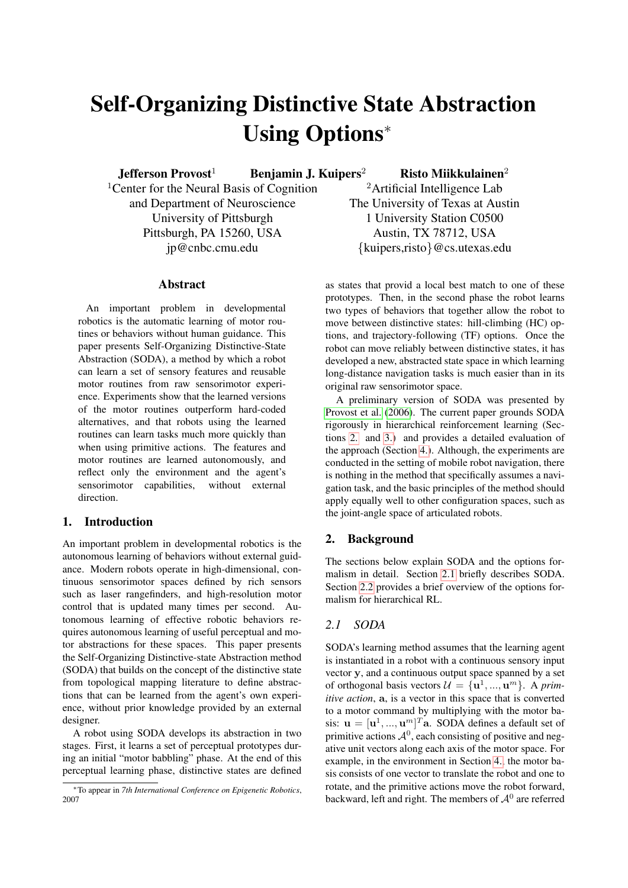# Self-Organizing Distinctive State Abstraction Using Options<sup>∗</sup>

Jefferson Provost<sup>1</sup> Benjamin J. Kuipers<sup>2</sup> Risto Miikkulainen<sup>2</sup>

<sup>1</sup> Center for the Neural Basis of Cognition and Department of Neuroscience University of Pittsburgh Pittsburgh, PA 15260, USA jp@cnbc.cmu.edu

# Abstract

An important problem in developmental robotics is the automatic learning of motor routines or behaviors without human guidance. This paper presents Self-Organizing Distinctive-State Abstraction (SODA), a method by which a robot can learn a set of sensory features and reusable motor routines from raw sensorimotor experience. Experiments show that the learned versions of the motor routines outperform hard-coded alternatives, and that robots using the learned routines can learn tasks much more quickly than when using primitive actions. The features and motor routines are learned autonomously, and reflect only the environment and the agent's sensorimotor capabilities, without external direction.

## 1. Introduction

An important problem in developmental robotics is the autonomous learning of behaviors without external guidance. Modern robots operate in high-dimensional, continuous sensorimotor spaces defined by rich sensors such as laser rangefinders, and high-resolution motor control that is updated many times per second. Autonomous learning of effective robotic behaviors requires autonomous learning of useful perceptual and motor abstractions for these spaces. This paper presents the Self-Organizing Distinctive-state Abstraction method (SODA) that builds on the concept of the distinctive state from topological mapping literature to define abstractions that can be learned from the agent's own experience, without prior knowledge provided by an external designer.

A robot using SODA develops its abstraction in two stages. First, it learns a set of perceptual prototypes during an initial "motor babbling" phase. At the end of this perceptual learning phase, distinctive states are defined

<sup>2</sup>Artificial Intelligence Lab The University of Texas at Austin 1 University Station C0500 Austin, TX 78712, USA {kuipers,risto}@cs.utexas.edu

as states that provid a local best match to one of these prototypes. Then, in the second phase the robot learns two types of behaviors that together allow the robot to move between distinctive states: hill-climbing (HC) options, and trajectory-following (TF) options. Once the robot can move reliably between distinctive states, it has developed a new, abstracted state space in which learning long-distance navigation tasks is much easier than in its original raw sensorimotor space.

A preliminary version of SODA was presented by [Provost et al.](#page-7-0) [\(2006\)](#page-7-0). The current paper grounds SODA rigorously in hierarchical reinforcement learning (Sections [2.](#page-0-0) and [3.\)](#page-1-0) and provides a detailed evaluation of the approach (Section [4.\)](#page-2-0). Although, the experiments are conducted in the setting of mobile robot navigation, there is nothing in the method that specifically assumes a navigation task, and the basic principles of the method should apply equally well to other configuration spaces, such as the joint-angle space of articulated robots.

# <span id="page-0-0"></span>2. Background

The sections below explain SODA and the options formalism in detail. Section [2.1](#page-0-1) briefly describes SODA. Section [2.2](#page-1-1) provides a brief overview of the options formalism for hierarchical RL.

# <span id="page-0-1"></span>*2.1 SODA*

SODA's learning method assumes that the learning agent is instantiated in a robot with a continuous sensory input vector y, and a continuous output space spanned by a set of orthogonal basis vectors  $\mathcal{U} = {\mathbf{u}^1, ..., \mathbf{u}^m}$ . A prim*itive action*, a, is a vector in this space that is converted to a motor command by multiplying with the motor basis:  $\mathbf{u} = [\mathbf{u}^1, ..., \mathbf{u}^m]^T$ a. SODA defines a default set of primitive actions  $\mathcal{A}^0$ , each consisting of positive and negative unit vectors along each axis of the motor space. For example, in the environment in Section [4.,](#page-2-0) the motor basis consists of one vector to translate the robot and one to rotate, and the primitive actions move the robot forward, backward, left and right. The members of  $A^0$  are referred

<sup>∗</sup>To appear in *7th International Conference on Epigenetic Robotics*, 2007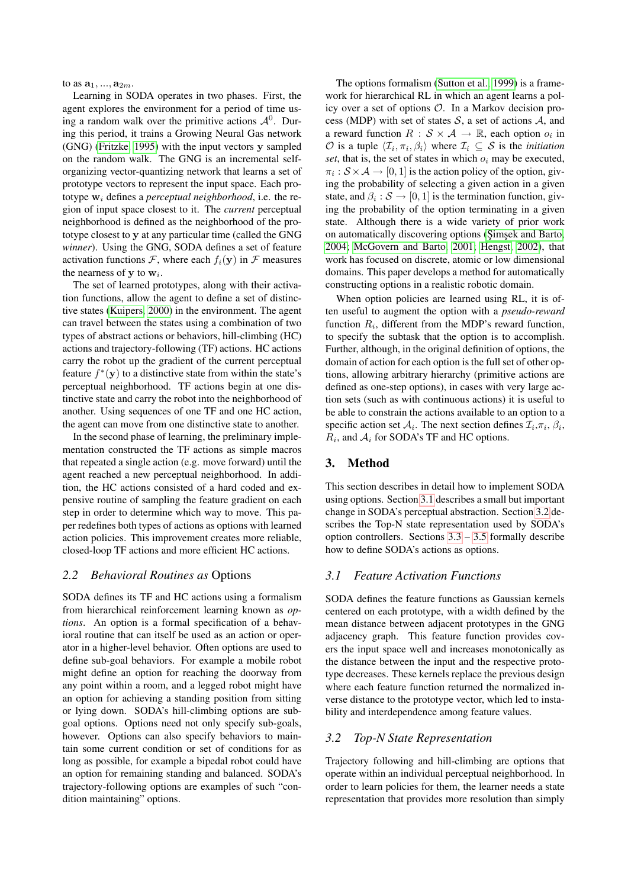to as  $a_1, ..., a_{2m}$ .

Learning in SODA operates in two phases. First, the agent explores the environment for a period of time using a random walk over the primitive actions  $\mathcal{A}^0$ . During this period, it trains a Growing Neural Gas network (GNG) [\(Fritzke, 1995\)](#page-7-1) with the input vectors y sampled on the random walk. The GNG is an incremental selforganizing vector-quantizing network that learns a set of prototype vectors to represent the input space. Each prototype  $w_i$  defines a *perceptual neighborhood*, i.e. the region of input space closest to it. The *current* perceptual neighborhood is defined as the neighborhood of the prototype closest to y at any particular time (called the GNG *winner*). Using the GNG, SODA defines a set of feature activation functions  $\mathcal{F}$ , where each  $f_i(\mathbf{y})$  in  $\mathcal{F}$  measures the nearness of  $y$  to  $w_i$ .

The set of learned prototypes, along with their activation functions, allow the agent to define a set of distinctive states [\(Kuipers, 2000\)](#page-7-2) in the environment. The agent can travel between the states using a combination of two types of abstract actions or behaviors, hill-climbing (HC) actions and trajectory-following (TF) actions. HC actions carry the robot up the gradient of the current perceptual feature  $f^*(y)$  to a distinctive state from within the state's perceptual neighborhood. TF actions begin at one distinctive state and carry the robot into the neighborhood of another. Using sequences of one TF and one HC action, the agent can move from one distinctive state to another.

In the second phase of learning, the preliminary implementation constructed the TF actions as simple macros that repeated a single action (e.g. move forward) until the agent reached a new perceptual neighborhood. In addition, the HC actions consisted of a hard coded and expensive routine of sampling the feature gradient on each step in order to determine which way to move. This paper redefines both types of actions as options with learned action policies. This improvement creates more reliable, closed-loop TF actions and more efficient HC actions.

## <span id="page-1-1"></span>*2.2 Behavioral Routines as* Options

SODA defines its TF and HC actions using a formalism from hierarchical reinforcement learning known as *options*. An option is a formal specification of a behavioral routine that can itself be used as an action or operator in a higher-level behavior. Often options are used to define sub-goal behaviors. For example a mobile robot might define an option for reaching the doorway from any point within a room, and a legged robot might have an option for achieving a standing position from sitting or lying down. SODA's hill-climbing options are subgoal options. Options need not only specify sub-goals, however. Options can also specify behaviors to maintain some current condition or set of conditions for as long as possible, for example a bipedal robot could have an option for remaining standing and balanced. SODA's trajectory-following options are examples of such "condition maintaining" options.

The options formalism [\(Sutton et al., 1999\)](#page-8-0) is a framework for hierarchical RL in which an agent learns a policy over a set of options O. In a Markov decision process (MDP) with set of states  $S$ , a set of actions  $A$ , and a reward function  $R : \mathcal{S} \times \mathcal{A} \rightarrow \mathbb{R}$ , each option  $o_i$  in  $\mathcal{O}$  is a tuple  $\langle \mathcal{I}_i, \pi_i, \beta_i \rangle$  where  $\mathcal{I}_i \subseteq \mathcal{S}$  is the *initiation set*, that is, the set of states in which  $o_i$  may be executed,  $\pi_i : \mathcal{S} \times \mathcal{A} \to [0, 1]$  is the action policy of the option, giving the probability of selecting a given action in a given state, and  $\beta_i : \mathcal{S} \to [0, 1]$  is the termination function, giving the probability of the option terminating in a given state. Although there is a wide variety of prior work on automatically discovering options (Simsek and Barto, [2004;](#page-8-1) [McGovern and Barto, 2001;](#page-7-3) [Hengst, 2002\)](#page-7-4), that work has focused on discrete, atomic or low dimensional domains. This paper develops a method for automatically constructing options in a realistic robotic domain.

When option policies are learned using RL, it is often useful to augment the option with a *pseudo-reward* function  $R_i$ , different from the MDP's reward function, to specify the subtask that the option is to accomplish. Further, although, in the original definition of options, the domain of action for each option is the full set of other options, allowing arbitrary hierarchy (primitive actions are defined as one-step options), in cases with very large action sets (such as with continuous actions) it is useful to be able to constrain the actions available to an option to a specific action set  $A_i$ . The next section defines  $\mathcal{I}_i$ ,  $\pi_i$ ,  $\beta_i$ ,  $R_i$ , and  $A_i$  for SODA's TF and HC options.

## <span id="page-1-0"></span>3. Method

This section describes in detail how to implement SODA using options. Section [3.1](#page-1-2) describes a small but important change in SODA's perceptual abstraction. Section [3.2](#page-1-3) describes the Top-N state representation used by SODA's option controllers. Sections  $3.3 - 3.5$  $3.3 - 3.5$  formally describe how to define SODA's actions as options.

## <span id="page-1-2"></span>*3.1 Feature Activation Functions*

SODA defines the feature functions as Gaussian kernels centered on each prototype, with a width defined by the mean distance between adjacent prototypes in the GNG adjacency graph. This feature function provides covers the input space well and increases monotonically as the distance between the input and the respective prototype decreases. These kernels replace the previous design where each feature function returned the normalized inverse distance to the prototype vector, which led to instability and interdependence among feature values.

## <span id="page-1-3"></span>*3.2 Top-N State Representation*

Trajectory following and hill-climbing are options that operate within an individual perceptual neighborhood. In order to learn policies for them, the learner needs a state representation that provides more resolution than simply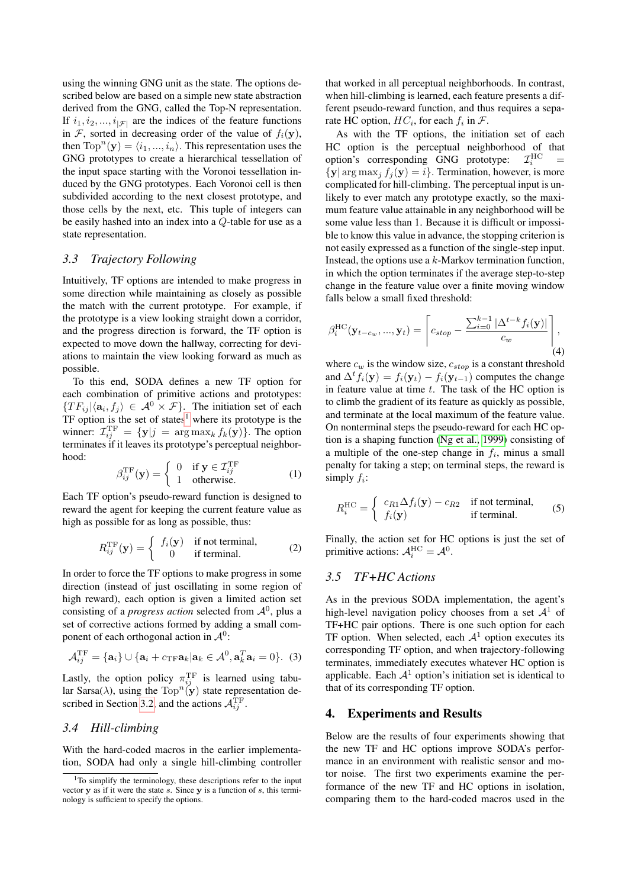using the winning GNG unit as the state. The options described below are based on a simple new state abstraction derived from the GNG, called the Top-N representation. If  $i_1, i_2, ..., i_{|\mathcal{F}|}$  are the indices of the feature functions in F, sorted in decreasing order of the value of  $f_i(\mathbf{y})$ , then  $\text{Top}^n(\mathbf{y}) = \langle i_1, ..., i_n \rangle$ . This representation uses the GNG prototypes to create a hierarchical tessellation of the input space starting with the Voronoi tessellation induced by the GNG prototypes. Each Voronoi cell is then subdivided according to the next closest prototype, and those cells by the next, etc. This tuple of integers can be easily hashed into an index into a Q-table for use as a state representation.

#### <span id="page-2-1"></span>*3.3 Trajectory Following*

Intuitively, TF options are intended to make progress in some direction while maintaining as closely as possible the match with the current prototype. For example, if the prototype is a view looking straight down a corridor, and the progress direction is forward, the TF option is expected to move down the hallway, correcting for deviations to maintain the view looking forward as much as possible.

To this end, SODA defines a new TF option for each combination of primitive actions and prototypes:  $\{TF_{ij}|\langle \mathbf{a}_i, f_j \rangle \in \mathcal{A}^0 \times \mathcal{F}\}\$ . The initiation set of each TF option is the set of states<sup>[1](#page-2-3)</sup> where its prototype is the winner:  $\mathcal{I}_{ij}^{\text{TF}} = \{ \mathbf{y} | j = \arg \max_k f_k(\mathbf{y}) \}.$  The option terminates if it leaves its prototype's perceptual neighborhood:

$$
\beta_{ij}^{\rm TF}(\mathbf{y}) = \begin{cases} 0 & \text{if } \mathbf{y} \in \mathcal{I}_{ij}^{\rm TF} \\ 1 & \text{otherwise.} \end{cases}
$$
 (1)

Each TF option's pseudo-reward function is designed to reward the agent for keeping the current feature value as high as possible for as long as possible, thus:

$$
R_{ij}^{\rm TF}(\mathbf{y}) = \begin{cases} f_i(\mathbf{y}) & \text{if not terminal,} \\ 0 & \text{if terminal.} \end{cases}
$$
 (2)

In order to force the TF options to make progress in some direction (instead of just oscillating in some region of high reward), each option is given a limited action set consisting of a *progress action* selected from  $A^0$ , plus a set of corrective actions formed by adding a small component of each orthogonal action in  $\mathcal{A}^0$ :

<span id="page-2-4"></span>
$$
\mathcal{A}_{ij}^{\mathrm{TF}} = {\mathbf{a}_i} \cup {\mathbf{a}_i + c_{\mathrm{TF}} \mathbf{a}_k | \mathbf{a}_k \in \mathcal{A}^0, \mathbf{a}_k^T \mathbf{a}_i = 0}.
$$
 (3)

Lastly, the option policy  $\pi_{ij}^{\text{TF}}$  is learned using tabular Sarsa( $\lambda$ ), using the  $\text{Top}^n(\mathbf{y})$  state representation de-scribed in Section [3.2,](#page-1-3) and the actions  $\mathcal{A}_{ij}^{\text{TF}}$ .

#### <span id="page-2-5"></span>*3.4 Hill-climbing*

With the hard-coded macros in the earlier implementation, SODA had only a single hill-climbing controller that worked in all perceptual neighborhoods. In contrast, when hill-climbing is learned, each feature presents a different pseudo-reward function, and thus requires a separate HC option,  $HC_i$ , for each  $f_i$  in  $\mathcal{F}$ .

As with the TF options, the initiation set of each HC option is the perceptual neighborhood of that option's corresponding GNG prototype:  $\mathcal{I}_i^{\text{HC}}$  =  $\{y | \arg \max_j f_j(y) = i\}$ . Termination, however, is more complicated for hill-climbing. The perceptual input is unlikely to ever match any prototype exactly, so the maximum feature value attainable in any neighborhood will be some value less than 1. Because it is difficult or impossible to know this value in advance, the stopping criterion is not easily expressed as a function of the single-step input. Instead, the options use a  $k$ -Markov termination function, in which the option terminates if the average step-to-step change in the feature value over a finite moving window falls below a small fixed threshold:

$$
\beta_i^{\text{HC}}(\mathbf{y}_{t-c_w},...,\mathbf{y}_t) = \left[c_{stop} - \frac{\sum_{i=0}^{k-1} |\Delta^{t-k} f_i(\mathbf{y})|}{c_w}\right],
$$
\n(4)

where  $c_w$  is the window size,  $c_{stop}$  is a constant threshold and  $\Delta^t f_i(\mathbf{y}) = f_i(\mathbf{y}_t) - f_i(\mathbf{y}_{t-1})$  computes the change in feature value at time  $t$ . The task of the HC option is to climb the gradient of its feature as quickly as possible, and terminate at the local maximum of the feature value. On nonterminal steps the pseudo-reward for each HC option is a shaping function [\(Ng et al., 1999\)](#page-7-5) consisting of a multiple of the one-step change in  $f_i$ , minus a small penalty for taking a step; on terminal steps, the reward is simply  $f_i$ :

$$
R_i^{\text{HC}} = \begin{cases} c_{R1} \Delta f_i(\mathbf{y}) - c_{R2} & \text{if not terminal,} \\ f_i(\mathbf{y}) & \text{if terminal.} \end{cases}
$$
 (5)

Finally, the action set for HC options is just the set of primitive actions:  $A_i^{\text{HC}} = A^0$ .

# <span id="page-2-2"></span>*3.5 TF+HC Actions*

As in the previous SODA implementation, the agent's high-level navigation policy chooses from a set  $A<sup>1</sup>$  of TF+HC pair options. There is one such option for each TF option. When selected, each  $A<sup>1</sup>$  option executes its corresponding TF option, and when trajectory-following terminates, immediately executes whatever HC option is applicable. Each  $A<sup>1</sup>$  option's initiation set is identical to that of its corresponding TF option.

#### <span id="page-2-0"></span>4. Experiments and Results

Below are the results of four experiments showing that the new TF and HC options improve SODA's performance in an environment with realistic sensor and motor noise. The first two experiments examine the performance of the new TF and HC options in isolation, comparing them to the hard-coded macros used in the

<span id="page-2-3"></span><sup>&</sup>lt;sup>1</sup>To simplify the terminology, these descriptions refer to the input vector  $y$  as if it were the state s. Since  $y$  is a function of s, this terminology is sufficient to specify the options.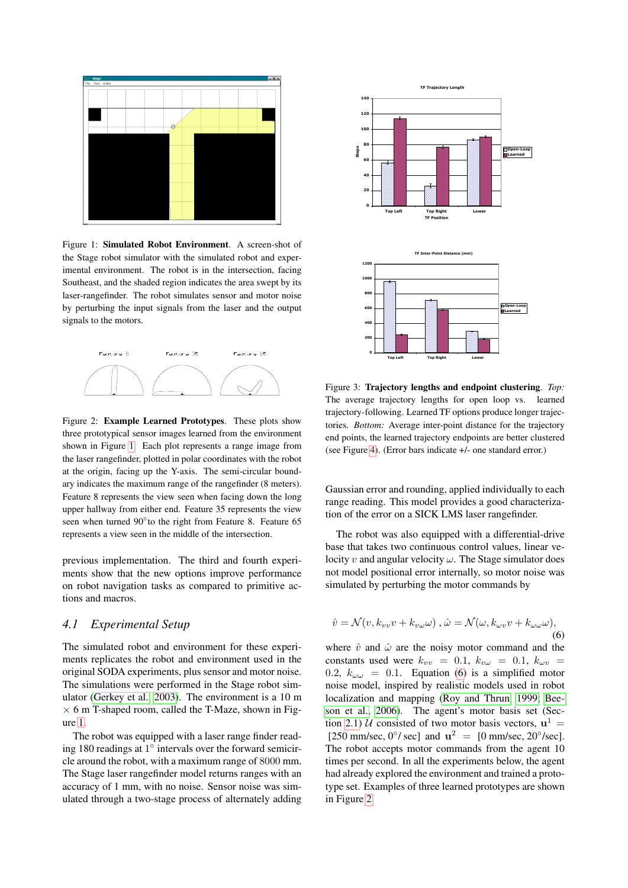

<span id="page-3-0"></span>Figure 1: Simulated Robot Environment. A screen-shot of the Stage robot simulator with the simulated robot and experimental environment. The robot is in the intersection, facing Southeast, and the shaded region indicates the area swept by its laser-rangefinder. The robot simulates sensor and motor noise by perturbing the input signals from the laser and the output signals to the motors.



<span id="page-3-2"></span>Figure 2: Example Learned Prototypes. These plots show three prototypical sensor images learned from the environment shown in Figure [1.](#page-3-0) Each plot represents a range image from the laser rangefinder, plotted in polar coordinates with the robot at the origin, facing up the Y-axis. The semi-circular boundary indicates the maximum range of the rangefinder (8 meters). Feature 8 represents the view seen when facing down the long upper hallway from either end. Feature 35 represents the view seen when turned 90° to the right from Feature 8. Feature 65 represents a view seen in the middle of the intersection.

previous implementation. The third and fourth experiments show that the new options improve performance on robot navigation tasks as compared to primitive actions and macros.

## <span id="page-3-4"></span>*4.1 Experimental Setup*

The simulated robot and environment for these experiments replicates the robot and environment used in the original SODA experiments, plus sensor and motor noise. The simulations were performed in the Stage robot simulator [\(Gerkey et al., 2003\)](#page-7-6). The environment is a 10 m  $\times$  6 m T-shaped room, called the T-Maze, shown in Figure [1.](#page-3-0)

The robot was equipped with a laser range finder reading 180 readings at  $1^\circ$  intervals over the forward semicircle around the robot, with a maximum range of 8000 mm. The Stage laser rangefinder model returns ranges with an accuracy of 1 mm, with no noise. Sensor noise was simulated through a two-stage process of alternately adding



<span id="page-3-3"></span>Figure 3: Trajectory lengths and endpoint clustering. *Top:* The average trajectory lengths for open loop vs. learned trajectory-following. Learned TF options produce longer trajectories. *Bottom:* Average inter-point distance for the trajectory end points, the learned trajectory endpoints are better clustered (see Figure [4\)](#page-4-0). (Error bars indicate +/- one standard error.)

Gaussian error and rounding, applied individually to each range reading. This model provides a good characterization of the error on a SICK LMS laser rangefinder.

The robot was also equipped with a differential-drive base that takes two continuous control values, linear velocity v and angular velocity  $\omega$ . The Stage simulator does not model positional error internally, so motor noise was simulated by perturbing the motor commands by

<span id="page-3-1"></span>
$$
\hat{v} = \mathcal{N}(v, k_{vv}v + k_{v\omega}\omega), \,\hat{\omega} = \mathcal{N}(\omega, k_{\omega v}v + k_{\omega\omega}\omega),\tag{6}
$$

where  $\hat{v}$  and  $\hat{\omega}$  are the noisy motor command and the constants used were  $k_{vv}$  = 0.1,  $k_{vw}$  = 0.1,  $k_{wv}$  = 0.2,  $k_{\omega\omega} = 0.1$ . Equation [\(6\)](#page-3-1) is a simplified motor noise model, inspired by realistic models used in robot localization and mapping [\(Roy and Thrun, 1999;](#page-7-7) [Bee](#page-7-8)[son et al., 2006\)](#page-7-8). The agent's motor basis set (Sec-tion [2.1\)](#page-0-1) *U* consisted of two motor basis vectors,  $\mathbf{u}^1$  = [250 mm/sec,  $0\degree$ / sec] and  $\mathbf{u}^2 = [0 \text{ mm/sec}, 20\degree/\text{sec}]$ . The robot accepts motor commands from the agent 10 times per second. In all the experiments below, the agent had already explored the environment and trained a prototype set. Examples of three learned prototypes are shown in Figure [2.](#page-3-2)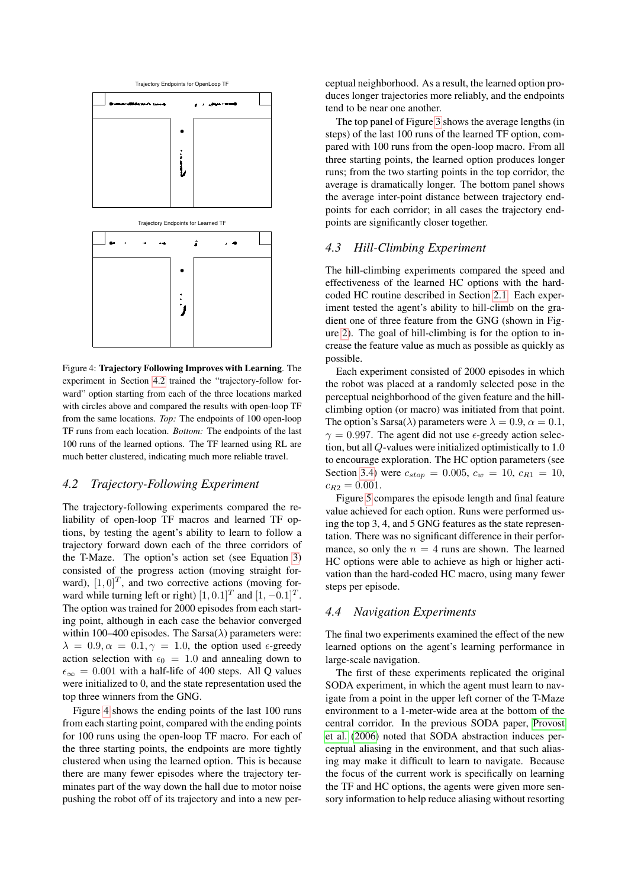

<span id="page-4-0"></span>Figure 4: Trajectory Following Improves with Learning. The experiment in Section [4.2](#page-4-1) trained the "trajectory-follow forward" option starting from each of the three locations marked with circles above and compared the results with open-loop TF from the same locations. *Top:* The endpoints of 100 open-loop TF runs from each location. *Bottom:* The endpoints of the last 100 runs of the learned options. The TF learned using RL are much better clustered, indicating much more reliable travel.

## <span id="page-4-1"></span>*4.2 Trajectory-Following Experiment*

The trajectory-following experiments compared the reliability of open-loop TF macros and learned TF options, by testing the agent's ability to learn to follow a trajectory forward down each of the three corridors of the T-Maze. The option's action set (see Equation [3\)](#page-2-4) consisted of the progress action (moving straight forward),  $[1, 0]^T$ , and two corrective actions (moving forward while turning left or right)  $[1, 0.1]^T$  and  $[1, -0.1]^T$ . The option was trained for 2000 episodes from each starting point, although in each case the behavior converged within 100–400 episodes. The Sarsa( $\lambda$ ) parameters were:  $\lambda = 0.9, \alpha = 0.1, \gamma = 1.0$ , the option used  $\epsilon$ -greedy action selection with  $\epsilon_0 = 1.0$  and annealing down to  $\epsilon_{\infty} = 0.001$  with a half-life of 400 steps. All Q values were initialized to 0, and the state representation used the top three winners from the GNG.

Figure [4](#page-4-0) shows the ending points of the last 100 runs from each starting point, compared with the ending points for 100 runs using the open-loop TF macro. For each of the three starting points, the endpoints are more tightly clustered when using the learned option. This is because there are many fewer episodes where the trajectory terminates part of the way down the hall due to motor noise pushing the robot off of its trajectory and into a new perceptual neighborhood. As a result, the learned option produces longer trajectories more reliably, and the endpoints tend to be near one another.

The top panel of Figure [3](#page-3-3) shows the average lengths (in steps) of the last 100 runs of the learned TF option, compared with 100 runs from the open-loop macro. From all three starting points, the learned option produces longer runs; from the two starting points in the top corridor, the average is dramatically longer. The bottom panel shows the average inter-point distance between trajectory endpoints for each corridor; in all cases the trajectory endpoints are significantly closer together.

# *4.3 Hill-Climbing Experiment*

The hill-climbing experiments compared the speed and effectiveness of the learned HC options with the hardcoded HC routine described in Section [2.1.](#page-0-1) Each experiment tested the agent's ability to hill-climb on the gradient one of three feature from the GNG (shown in Figure [2\)](#page-3-2). The goal of hill-climbing is for the option to increase the feature value as much as possible as quickly as possible.

Each experiment consisted of 2000 episodes in which the robot was placed at a randomly selected pose in the perceptual neighborhood of the given feature and the hillclimbing option (or macro) was initiated from that point. The option's Sarsa( $\lambda$ ) parameters were  $\lambda = 0.9$ ,  $\alpha = 0.1$ ,  $\gamma = 0.997$ . The agent did not use  $\epsilon$ -greedy action selection, but all Q-values were initialized optimistically to 1.0 to encourage exploration. The HC option parameters (see Section [3.4\)](#page-2-5) were  $c_{stop} = 0.005$ ,  $c_w = 10$ ,  $c_{R1} = 10$ ,  $c_{R2} = 0.001$ .

Figure [5](#page-5-0) compares the episode length and final feature value achieved for each option. Runs were performed using the top 3, 4, and 5 GNG features as the state representation. There was no significant difference in their performance, so only the  $n = 4$  runs are shown. The learned HC options were able to achieve as high or higher activation than the hard-coded HC macro, using many fewer steps per episode.

#### <span id="page-4-2"></span>*4.4 Navigation Experiments*

The final two experiments examined the effect of the new learned options on the agent's learning performance in large-scale navigation.

The first of these experiments replicated the original SODA experiment, in which the agent must learn to navigate from a point in the upper left corner of the T-Maze environment to a 1-meter-wide area at the bottom of the central corridor. In the previous SODA paper, [Provost](#page-7-0) [et al.](#page-7-0) [\(2006\)](#page-7-0) noted that SODA abstraction induces perceptual aliasing in the environment, and that such aliasing may make it difficult to learn to navigate. Because the focus of the current work is specifically on learning the TF and HC options, the agents were given more sensory information to help reduce aliasing without resorting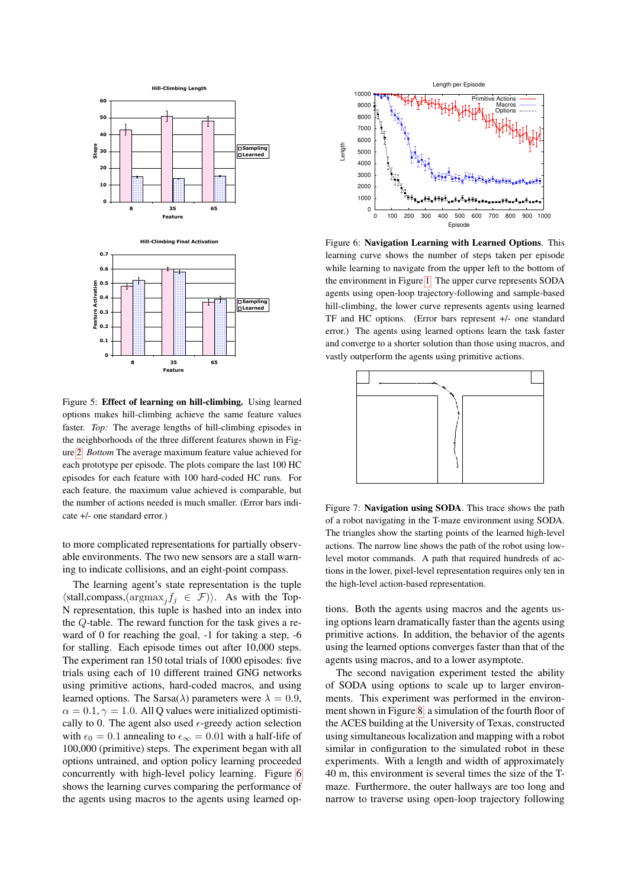

<span id="page-5-0"></span>Figure 5: Effect of learning on hill-climbing. Using learned options makes hill-climbing achieve the same feature values faster. *Top:* The average lengths of hill-climbing episodes in the neighborhoods of the three different features shown in Figure [2.](#page-3-2) *Bottom* The average maximum feature value achieved for each prototype per episode. The plots compare the last 100 HC episodes for each feature with 100 hard-coded HC runs. For each feature, the maximum value achieved is comparable, but the number of actions needed is much smaller. (Error bars indicate +/- one standard error.)

to more complicated representations for partially observable environments. The two new sensors are a stall warning to indicate collisions, and an eight-point compass.

The learning agent's state representation is the tuple  $\langle \text{stall,compass}, (\text{argmax}_j f_j \in \mathcal{F}) \rangle$ . As with the Top-N representation, this tuple is hashed into an index into the Q-table. The reward function for the task gives a reward of 0 for reaching the goal, -1 for taking a step, -6 for stalling. Each episode times out after 10,000 steps. The experiment ran 150 total trials of 1000 episodes: five trials using each of 10 different trained GNG networks using primitive actions, hard-coded macros, and using learned options. The Sarsa( $\lambda$ ) parameters were  $\lambda = 0.9$ ,  $\alpha = 0.1$ ,  $\gamma = 1.0$ . All Q values were initialized optimistically to 0. The agent also used  $\epsilon$ -greedy action selection with  $\epsilon_0 = 0.1$  annealing to  $\epsilon_{\infty} = 0.01$  with a half-life of 100,000 (primitive) steps. The experiment began with all options untrained, and option policy learning proceeded concurrently with high-level policy learning. Figure [6](#page-5-1) shows the learning curves comparing the performance of the agents using macros to the agents using learned op-



<span id="page-5-1"></span>Figure 6: Navigation Learning with Learned Options. This learning curve shows the number of steps taken per episode while learning to navigate from the upper left to the bottom of the environment in Figure [1.](#page-3-0) The upper curve represents SODA agents using open-loop trajectory-following and sample-based hill-climbing, the lower curve represents agents using learned TF and HC options. (Error bars represent +/- one standard error.) The agents using learned options learn the task faster and converge to a shorter solution than those using macros, and vastly outperform the agents using primitive actions.



Figure 7: Navigation using SODA. This trace shows the path of a robot navigating in the T-maze environment using SODA. The triangles show the starting points of the learned high-level actions. The narrow line shows the path of the robot using lowlevel motor commands. A path that required hundreds of actions in the lower, pixel-level representation requires only ten in the high-level action-based representation.

tions. Both the agents using macros and the agents using options learn dramatically faster than the agents using primitive actions. In addition, the behavior of the agents using the learned options converges faster than that of the agents using macros, and to a lower asymptote.

The second navigation experiment tested the ability of SODA using options to scale up to larger environments. This experiment was performed in the environment shown in Figure [8,](#page-6-0) a simulation of the fourth floor of the ACES building at the University of Texas, constructed using simultaneous localization and mapping with a robot similar in configuration to the simulated robot in these experiments. With a length and width of approximately 40 m, this environment is several times the size of the Tmaze. Furthermore, the outer hallways are too long and narrow to traverse using open-loop trajectory following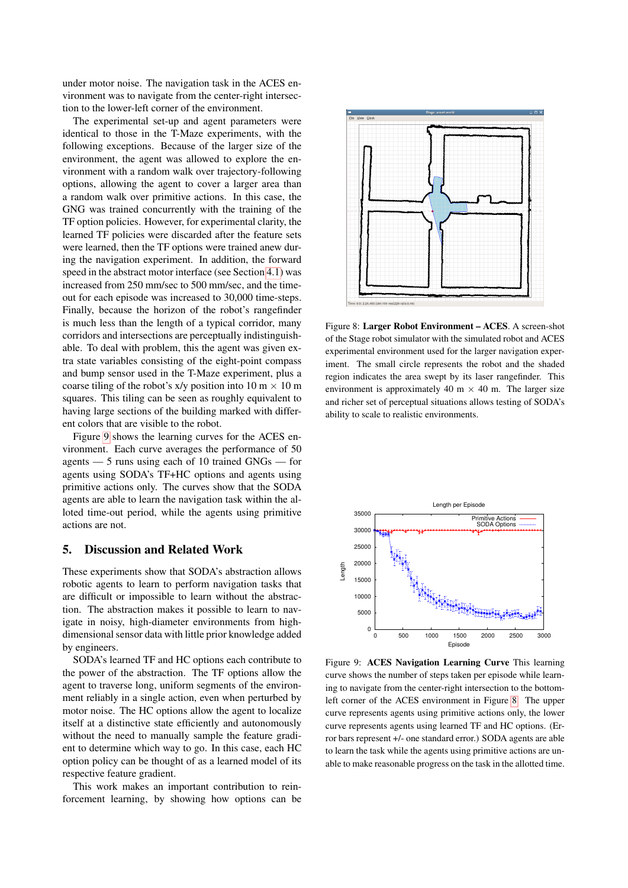under motor noise. The navigation task in the ACES environment was to navigate from the center-right intersection to the lower-left corner of the environment.

The experimental set-up and agent parameters were identical to those in the T-Maze experiments, with the following exceptions. Because of the larger size of the environment, the agent was allowed to explore the environment with a random walk over trajectory-following options, allowing the agent to cover a larger area than a random walk over primitive actions. In this case, the GNG was trained concurrently with the training of the TF option policies. However, for experimental clarity, the learned TF policies were discarded after the feature sets were learned, then the TF options were trained anew during the navigation experiment. In addition, the forward speed in the abstract motor interface (see Section [4.1\)](#page-3-4) was increased from 250 mm/sec to 500 mm/sec, and the timeout for each episode was increased to 30,000 time-steps. Finally, because the horizon of the robot's rangefinder is much less than the length of a typical corridor, many corridors and intersections are perceptually indistinguishable. To deal with problem, this the agent was given extra state variables consisting of the eight-point compass and bump sensor used in the T-Maze experiment, plus a coarse tiling of the robot's x/y position into  $10 \text{ m} \times 10 \text{ m}$ squares. This tiling can be seen as roughly equivalent to having large sections of the building marked with different colors that are visible to the robot.

Figure [9](#page-6-1) shows the learning curves for the ACES environment. Each curve averages the performance of 50 agents — 5 runs using each of 10 trained GNGs — for agents using SODA's TF+HC options and agents using primitive actions only. The curves show that the SODA agents are able to learn the navigation task within the alloted time-out period, while the agents using primitive actions are not.

# 5. Discussion and Related Work

These experiments show that SODA's abstraction allows robotic agents to learn to perform navigation tasks that are difficult or impossible to learn without the abstraction. The abstraction makes it possible to learn to navigate in noisy, high-diameter environments from highdimensional sensor data with little prior knowledge added by engineers.

SODA's learned TF and HC options each contribute to the power of the abstraction. The TF options allow the agent to traverse long, uniform segments of the environment reliably in a single action, even when perturbed by motor noise. The HC options allow the agent to localize itself at a distinctive state efficiently and autonomously without the need to manually sample the feature gradient to determine which way to go. In this case, each HC option policy can be thought of as a learned model of its respective feature gradient.

This work makes an important contribution to reinforcement learning, by showing how options can be



<span id="page-6-0"></span>Figure 8: Larger Robot Environment – ACES. A screen-shot of the Stage robot simulator with the simulated robot and ACES experimental environment used for the larger navigation experiment. The small circle represents the robot and the shaded region indicates the area swept by its laser rangefinder. This environment is approximately 40 m  $\times$  40 m. The larger size and richer set of perceptual situations allows testing of SODA's ability to scale to realistic environments.



<span id="page-6-1"></span>Figure 9: ACES Navigation Learning Curve This learning curve shows the number of steps taken per episode while learning to navigate from the center-right intersection to the bottomleft corner of the ACES environment in Figure [8.](#page-6-0) The upper curve represents agents using primitive actions only, the lower curve represents agents using learned TF and HC options. (Error bars represent +/- one standard error.) SODA agents are able to learn the task while the agents using primitive actions are unable to make reasonable progress on the task in the allotted time.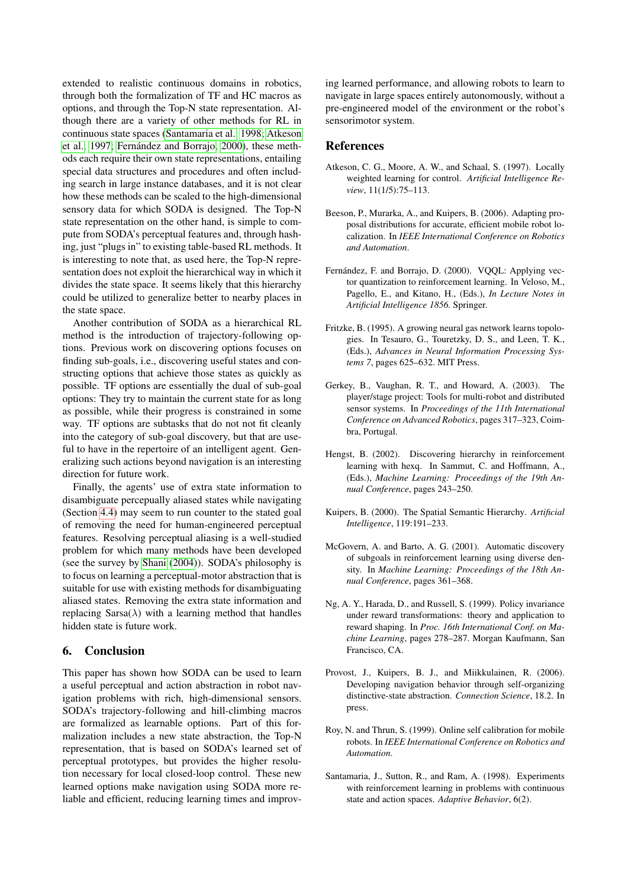extended to realistic continuous domains in robotics, through both the formalization of TF and HC macros as options, and through the Top-N state representation. Although there are a variety of other methods for RL in continuous state spaces [\(Santamaria et al., 1998;](#page-7-9) [Atkeson](#page-7-10) [et al., 1997;](#page-7-10) Fernández and Borrajo, 2000), these methods each require their own state representations, entailing special data structures and procedures and often including search in large instance databases, and it is not clear how these methods can be scaled to the high-dimensional sensory data for which SODA is designed. The Top-N state representation on the other hand, is simple to compute from SODA's perceptual features and, through hashing, just "plugs in" to existing table-based RL methods. It is interesting to note that, as used here, the Top-N representation does not exploit the hierarchical way in which it divides the state space. It seems likely that this hierarchy could be utilized to generalize better to nearby places in the state space.

Another contribution of SODA as a hierarchical RL method is the introduction of trajectory-following options. Previous work on discovering options focuses on finding sub-goals, i.e., discovering useful states and constructing options that achieve those states as quickly as possible. TF options are essentially the dual of sub-goal options: They try to maintain the current state for as long as possible, while their progress is constrained in some way. TF options are subtasks that do not not fit cleanly into the category of sub-goal discovery, but that are useful to have in the repertoire of an intelligent agent. Generalizing such actions beyond navigation is an interesting direction for future work.

Finally, the agents' use of extra state information to disambiguate percepually aliased states while navigating (Section [4.4\)](#page-4-2) may seem to run counter to the stated goal of removing the need for human-engineered perceptual features. Resolving perceptual aliasing is a well-studied problem for which many methods have been developed (see the survey by [Shani](#page-8-2) [\(2004\)](#page-8-2)). SODA's philosophy is to focus on learning a perceptual-motor abstraction that is suitable for use with existing methods for disambiguating aliased states. Removing the extra state information and replacing Sarsa( $\lambda$ ) with a learning method that handles hidden state is future work.

# 6. Conclusion

This paper has shown how SODA can be used to learn a useful perceptual and action abstraction in robot navigation problems with rich, high-dimensional sensors. SODA's trajectory-following and hill-climbing macros are formalized as learnable options. Part of this formalization includes a new state abstraction, the Top-N representation, that is based on SODA's learned set of perceptual prototypes, but provides the higher resolution necessary for local closed-loop control. These new learned options make navigation using SODA more reliable and efficient, reducing learning times and improving learned performance, and allowing robots to learn to navigate in large spaces entirely autonomously, without a pre-engineered model of the environment or the robot's sensorimotor system.

#### References

- <span id="page-7-10"></span>Atkeson, C. G., Moore, A. W., and Schaal, S. (1997). Locally weighted learning for control. *Artificial Intelligence Review*, 11(1/5):75–113.
- <span id="page-7-8"></span>Beeson, P., Murarka, A., and Kuipers, B. (2006). Adapting proposal distributions for accurate, efficient mobile robot localization. In *IEEE International Conference on Robotics and Automation*.
- <span id="page-7-11"></span>Fernández, F. and Borrajo, D. (2000). VQQL: Applying vector quantization to reinforcement learning. In Veloso, M., Pagello, E., and Kitano, H., (Eds.), *In Lecture Notes in Artificial Intelligence 1856.* Springer.
- <span id="page-7-1"></span>Fritzke, B. (1995). A growing neural gas network learns topologies. In Tesauro, G., Touretzky, D. S., and Leen, T. K., (Eds.), *Advances in Neural Information Processing Systems 7*, pages 625–632. MIT Press.
- <span id="page-7-6"></span>Gerkey, B., Vaughan, R. T., and Howard, A. (2003). The player/stage project: Tools for multi-robot and distributed sensor systems. In *Proceedings of the 11th International Conference on Advanced Robotics*, pages 317–323, Coimbra, Portugal.
- <span id="page-7-4"></span>Hengst, B. (2002). Discovering hierarchy in reinforcement learning with hexq. In Sammut, C. and Hoffmann, A., (Eds.), *Machine Learning: Proceedings of the 19th Annual Conference*, pages 243–250.
- <span id="page-7-2"></span>Kuipers, B. (2000). The Spatial Semantic Hierarchy. *Artificial Intelligence*, 119:191–233.
- <span id="page-7-3"></span>McGovern, A. and Barto, A. G. (2001). Automatic discovery of subgoals in reinforcement learning using diverse density. In *Machine Learning: Proceedings of the 18th Annual Conference*, pages 361–368.
- <span id="page-7-5"></span>Ng, A. Y., Harada, D., and Russell, S. (1999). Policy invariance under reward transformations: theory and application to reward shaping. In *Proc. 16th International Conf. on Machine Learning*, pages 278–287. Morgan Kaufmann, San Francisco, CA.
- <span id="page-7-0"></span>Provost, J., Kuipers, B. J., and Miikkulainen, R. (2006). Developing navigation behavior through self-organizing distinctive-state abstraction. *Connection Science*, 18.2. In press.
- <span id="page-7-7"></span>Roy, N. and Thrun, S. (1999). Online self calibration for mobile robots. In *IEEE International Conference on Robotics and Automation*.
- <span id="page-7-9"></span>Santamaria, J., Sutton, R., and Ram, A. (1998). Experiments with reinforcement learning in problems with continuous state and action spaces. *Adaptive Behavior*, 6(2).